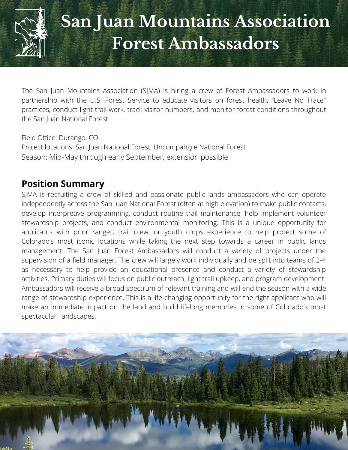

# **San Juan Mountains Association Forest Ambassadors**

The San Juan Mountains Association (SJMA) is hiring a crew of Forest Ambassadors to work in partnership with the U.S. Forest Service to educate visitors on forest health, "Leave No Trace" practices, conduct light trail work, track visitor numbers, and monitor forest conditions throughout the San Juan National Forest.

Field Office: Durango, CO Project locations: San Juan National Forest, Uncompahgre National Forest Season: Mid-May through early September, extension possible

# **Position Summary**

SJMA is recruiting a crew of skilled and passionate public lands ambassadors who can operate independently across the San Juan National Forest (often at high elevation) to make public contacts, develop interpretive programming, conduct routine trail maintenance, help implement volunteer stewardship projects, and conduct environmental monitoring. This is a unique opportunity for applicants with prior ranger, trail crew, or youth corps experience to help protect some of Colorado's most iconic locations while taking the next step towards a career in public lands management. The San Juan Forest Ambassadors will conduct a variety of projects under the supervision of a field manager. The crew will largely work individually and be split into teams of 2-4 as necessary to help provide an educational presence and conduct a variety of stewardship activities. Primary duties will focus on public outreach, light trail upkeep, and program development. Ambassadors will receive a broad spectrum of relevant training and will end the season with a wide range of stewardship experience. This is a life-changing opportunity for the right applicant who will make an immediate impact on the land and build lifelong memories in some of Colorado's most spectacular landscapes.

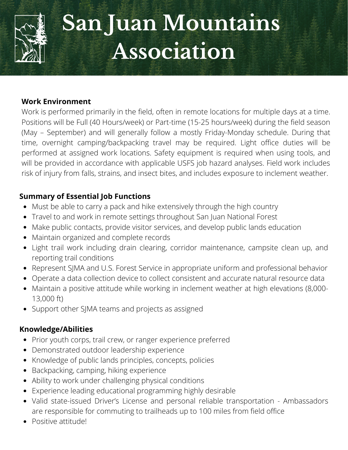

# **San Juan Mountains Association**

#### **Work Environment**

Work is performed primarily in the field, often in remote locations for multiple days at a time. Positions will be Full (40 Hours/week) or Part-time (15-25 hours/week) during the field season (May – September) and will generally follow a mostly Friday-Monday schedule. During that time, overnight camping/backpacking travel may be required. Light office duties will be performed at assigned work locations. Safety equipment is required when using tools, and will be provided in accordance with applicable USFS job hazard analyses. Field work includes risk of injury from falls, strains, and insect bites, and includes exposure to inclement weather.

## **Summary of Essential Job Functions**

- Must be able to carry a pack and hike extensively through the high country
- Travel to and work in remote settings throughout San Juan National Forest
- Make public contacts, provide visitor services, and develop public lands education
- Maintain organized and complete records
- Light trail work including drain clearing, corridor maintenance, campsite clean up, and reporting trail conditions
- Represent SJMA and U.S. Forest Service in appropriate uniform and professional behavior
- **•** Operate a data collection device to collect consistent and accurate natural resource data
	- Maintain a positive attitude while working in inclement weather at high elevations (8,000-<br>13,000 ft) 13,000 ft)
- **•** Support other SJMA teams and projects as assigned

# **629 Knowledge/Abilities**

- Prior youth corps, trail crew, or ranger experience preferred
- **Total Participants:** Demonstrated outdoor leadership experience
- **2,974** Knowledge of public lands principles, concepts, policies
- Backpacking, camping, hiking experience
- **Teachers Served:** Ability to work under challenging physical conditions
- **46** Experience leading educational programming highly desirable
- are responsible for commuting to trailheads up to 100 miles from field office Valid state-issued Driver's License and personal reliable transportation - Ambassadors
	- 144. • Positive attitude!